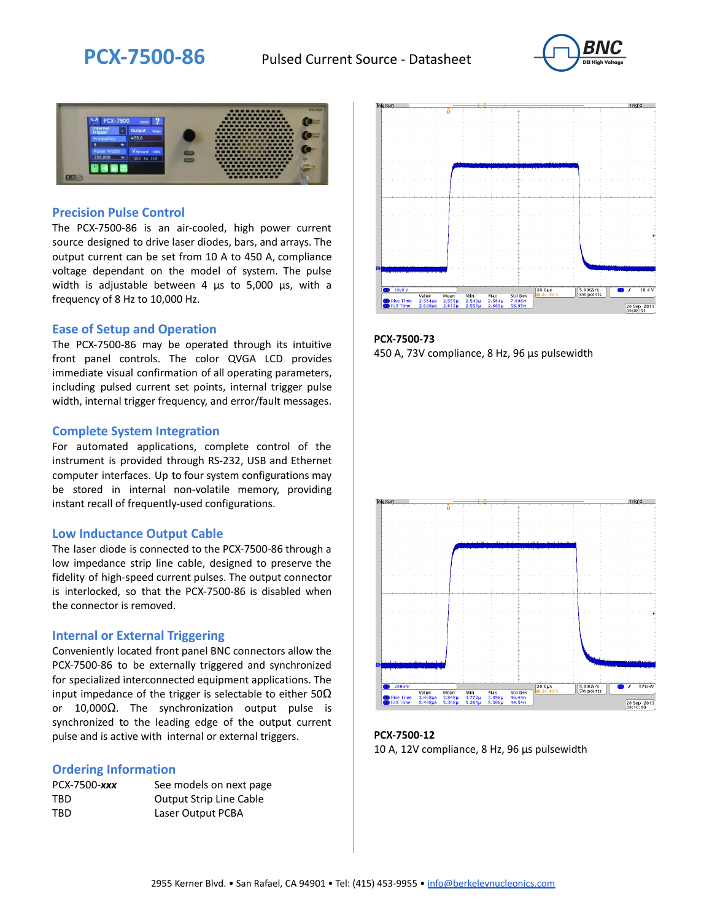



### **Precision Pulse Control**

The PCX-7500-86 is an air-cooled, high power current source designed to drive laser diodes, bars, and arrays. The output current can be set from 10 A to 450 A, compliance voltage dependant on the model of system. The pulse width is adjustable between 4 µs to 5,000 µs, with a frequency of 8 Hz to 10,000 Hz.

#### **Ease of Setup and Operation**

The PCX-7500-86 may be operated through its intuitive front panel controls. The color QVGA LCD provides immediate visual confirmation of all operating parameters, including pulsed current set points, internal trigger pulse width, internal trigger frequency, and error/fault messages.

#### **Complete System Integration**

For automated applications, complete control of the instrument is provided through RS-232, USB and Ethernet computer interfaces. Up to four system configurations may be stored in internal non-volatile memory, providing instant recall of frequently-used configurations.

#### **Low Inductance Output Cable**

The laser diode is connected to the PCX-7500-86 through a low impedance strip line cable, designed to preserve the fidelity of high-speed current pulses. The output connector is interlocked, so that the PCX-7500-86 is disabled when the connector is removed.

#### **Internal or External Triggering**

Conveniently located front panel BNC connectors allow the PCX-7500-86 to be externally triggered and synchronized for specialized interconnected equipment applications. The input impedance of the trigger is selectable to either  $50\Omega$ or 10,000Ω. The synchronization output pulse is synchronized to the leading edge of the output current pulse and is active with internal or external triggers.

#### **Ordering Information**

| PCX-7500-xxx | See models on next page        |
|--------------|--------------------------------|
| TBD          | <b>Output Strip Line Cable</b> |
| TBD          | Laser Output PCBA              |



**PCX-7500-73** 450 A, 73V compliance, 8 Hz, 96 µs pulsewidth



**PCX-7500-12** 10 A, 12V compliance, 8 Hz, 96 μs pulsewidth